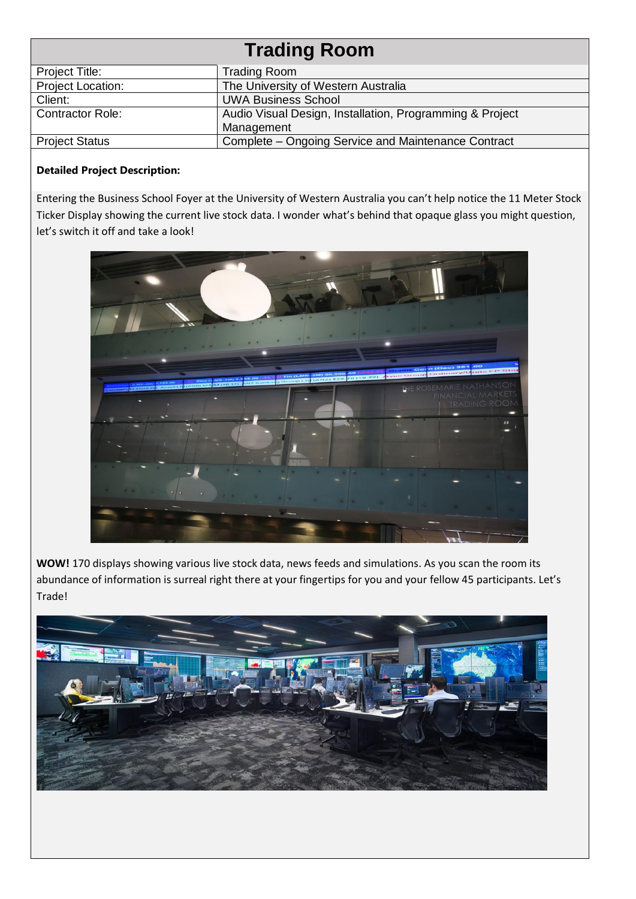| <b>Trading Room</b>      |                                                          |
|--------------------------|----------------------------------------------------------|
| Project Title:           | Trading Room                                             |
| <b>Project Location:</b> | The University of Western Australia                      |
| Client:                  | <b>UWA Business School</b>                               |
| <b>Contractor Role:</b>  | Audio Visual Design, Installation, Programming & Project |
|                          | Management                                               |
| <b>Project Status</b>    | Complete - Ongoing Service and Maintenance Contract      |

## **Detailed Project Description:**

Entering the Business School Foyer at the University of Western Australia you can't help notice the 11 Meter Stock Ticker Display showing the current live stock data. I wonder what's behind that opaque glass you might question, let's switch it off and take a look!



**WOW!** 170 displays showing various live stock data, news feeds and simulations. As you scan the room its abundance of information is surreal right there at your fingertips for you and your fellow 45 participants. Let's Trade!

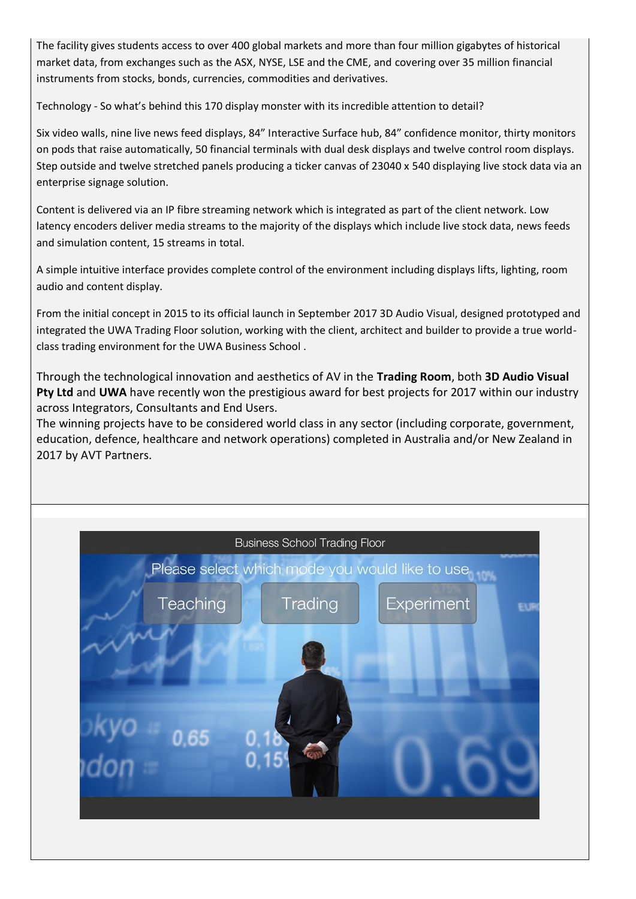The facility gives students access to over 400 global markets and more than four million gigabytes of historical market data, from exchanges such as the ASX, NYSE, LSE and the CME, and covering over 35 million financial instruments from stocks, bonds, currencies, commodities and derivatives.

Technology - So what's behind this 170 display monster with its incredible attention to detail?

Six video walls, nine live news feed displays, 84" Interactive Surface hub, 84" confidence monitor, thirty monitors on pods that raise automatically, 50 financial terminals with dual desk displays and twelve control room displays. Step outside and twelve stretched panels producing a ticker canvas of 23040 x 540 displaying live stock data via an enterprise signage solution.

Content is delivered via an IP fibre streaming network which is integrated as part of the client network. Low latency encoders deliver media streams to the majority of the displays which include live stock data, news feeds and simulation content, 15 streams in total.

A simple intuitive interface provides complete control of the environment including displays lifts, lighting, room audio and content display.

From the initial concept in 2015 to its official launch in September 2017 3D Audio Visual, designed prototyped and integrated the UWA Trading Floor solution, working with the client, architect and builder to provide a true worldclass trading environment for the UWA Business School .

Through the technological innovation and aesthetics of AV in the **Trading Room**, both **3D Audio Visual Pty Ltd** and **UWA** have recently won the prestigious award for best projects for 2017 within our industry across Integrators, Consultants and End Users.

The winning projects have to be considered world class in any sector (including corporate, government, education, defence, healthcare and network operations) completed in Australia and/or New Zealand in 2017 by AVT Partners.